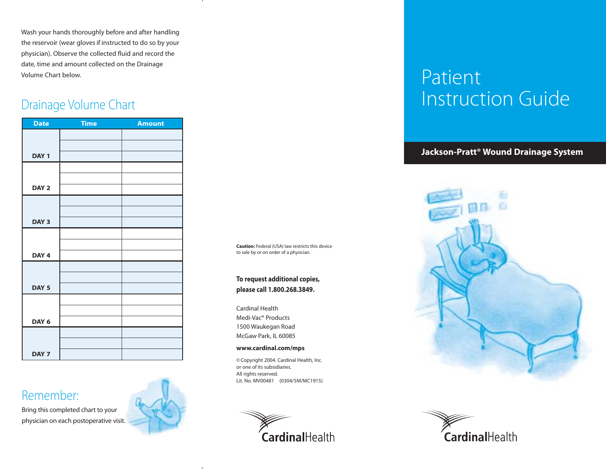Wash your hands thoroughly before and after handling the reservoir (wear gloves if instructed to do so by your physician). Observe the collected fluid and record the date, time and amount collected on the Drainage Volume Chart below.

### Drainage Volume Chart

| <b>Date</b>      | <b>Time</b> | <b>Amount</b> |
|------------------|-------------|---------------|
|                  |             |               |
|                  |             |               |
| DAY <sub>1</sub> |             |               |
|                  |             |               |
|                  |             |               |
| DAY <sub>2</sub> |             |               |
|                  |             |               |
|                  |             |               |
| DAY <sub>3</sub> |             |               |
|                  |             |               |
| DAY <sub>4</sub> |             |               |
|                  |             |               |
|                  |             |               |
| DAY <sub>5</sub> |             |               |
|                  |             |               |
|                  |             |               |
| DAY 6            |             |               |
|                  |             |               |
|                  |             |               |
| DAY <sub>7</sub> |             |               |

### Remember:

Bring this completed chart to your physician on each postoperative visit.



**Caution:** Federal (USA) law restricts this device to sale by or on order of a physician.

**To request additional copies, please call 1.800.268.3849.**

Cardinal Health Medi-Vac® Products 1500 Waukegan Road McGaw Park, IL 60085

#### **www.cardinal.com/mps**

© Copyright 2004. Cardinal Health, Inc. or one of its subsidiaries. All rights reserved. Lit. No. MV00481 (0304/5M/MC1915)



# Patient Instruction Guide

**Jackson-Pratt® Wound Drainage System**